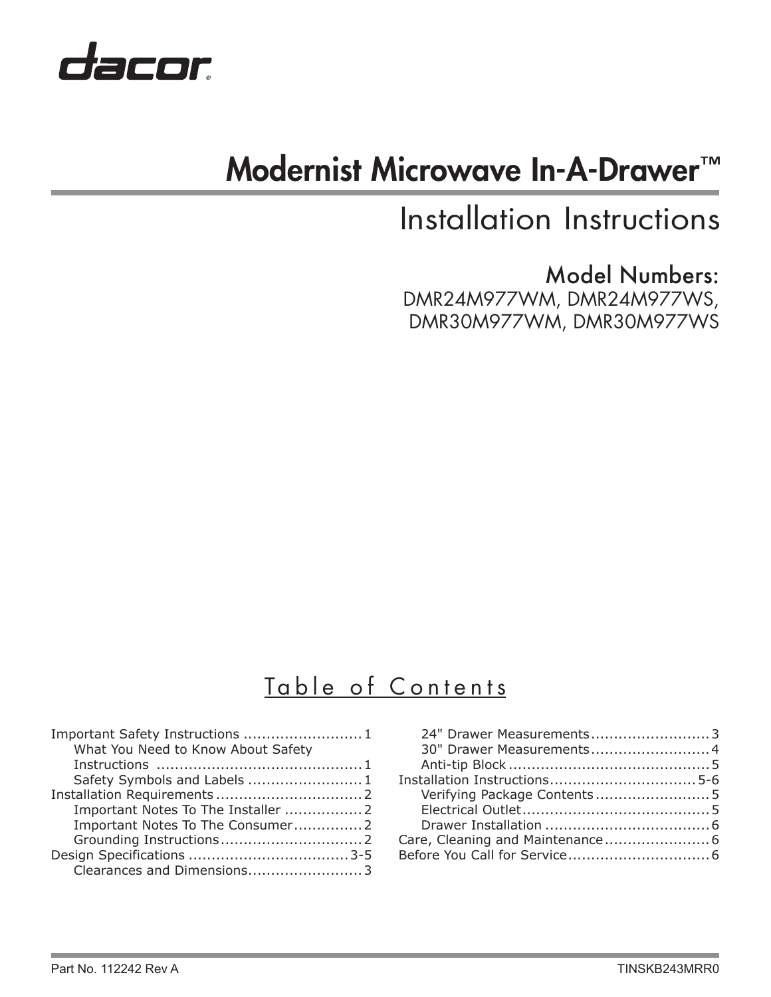

# Modernist Microwave In-A-Drawer™

# Installation Instructions

Model Numbers: DMR24M977WM, DMR24M977WS, DMR30M977WM, DMR30M977WS

# Table of Contents

| Important Safety Instructions  1   |  |
|------------------------------------|--|
| What You Need to Know About Safety |  |
|                                    |  |
| Safety Symbols and Labels  1       |  |
|                                    |  |
|                                    |  |
|                                    |  |
|                                    |  |
|                                    |  |
| Clearances and Dimensions3         |  |

| 24" Drawer Measurements3     |  |
|------------------------------|--|
| 30" Drawer Measurements 4    |  |
|                              |  |
|                              |  |
| Verifying Package Contents 5 |  |
|                              |  |
|                              |  |
|                              |  |
|                              |  |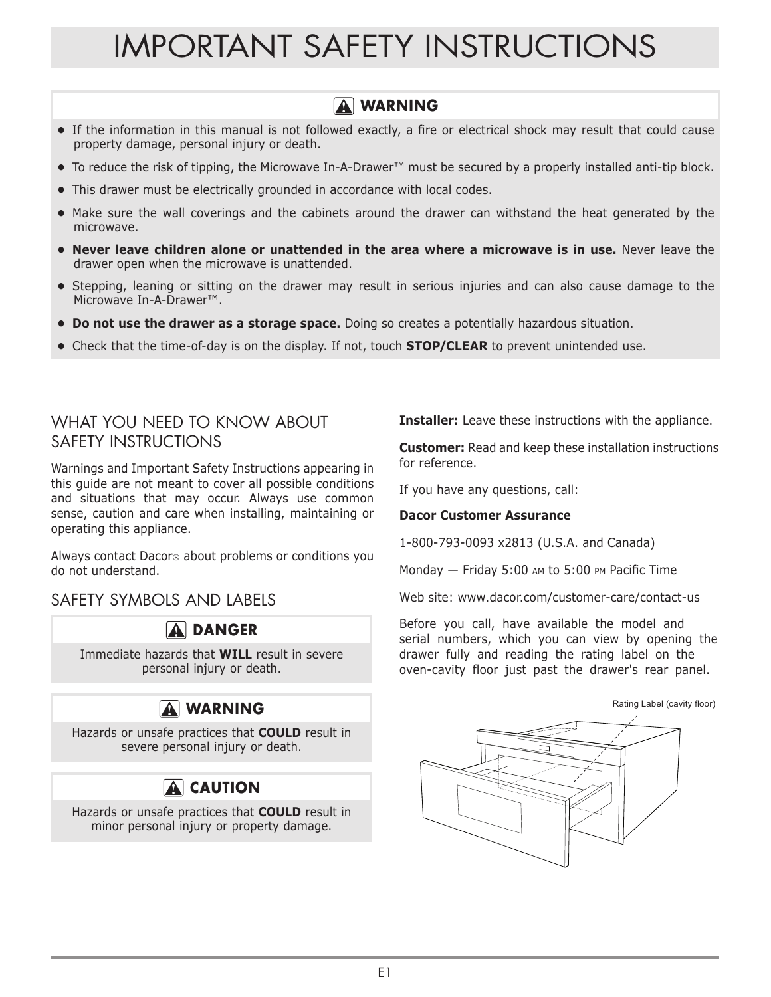# IMPORTANT SAFETY INSTRUCTIONS

#### **WARNING**

- **•** If the information in this manual is not followed exactly, a fire or electrical shock may result that could cause property damage, personal injury or death.
- **•** To reduce the risk of tipping, the Microwave In-A-Drawer™ must be secured by a properly installed anti-tip block.
- **•** This drawer must be electrically grounded in accordance with local codes.
- **•** Make sure the wall coverings and the cabinets around the drawer can withstand the heat generated by the microwave.
- **• Never leave children alone or unattended in the area where a microwave is in use. Never leave the** drawer open when the microwave is unattended.
- **•** Stepping, leaning or sitting on the drawer may result in serious injuries and can also cause damage to the Microwave In-A-Drawer™.
- **• Do not use the drawer as a storage space.** Doing so creates a potentially hazardous situation.
- **•** Check that the time-of-day is on the display. If not, touch **STOP/CLEAR** to prevent unintended use.

#### WHAT YOU NEED TO KNOW ABOUT SAFETY INSTRUCTIONS

Warnings and Important Safety Instructions appearing in this guide are not meant to cover all possible conditions and situations that may occur. Always use common sense, caution and care when installing, maintaining or operating this appliance.

Always contact Dacor® about problems or conditions you do not understand.

SAFETY SYMBOLS AND LABELS



Immediate hazards that **WILL** result in severe personal injury or death.

## **WARNING**

Hazards or unsafe practices that **COULD** result in severe personal injury or death.

## **A** CAUTION

Hazards or unsafe practices that **COULD** result in minor personal injury or property damage.

**Installer:** Leave these instructions with the appliance.

**Customer:** Read and keep these installation instructions for reference.

If you have any questions, call:

#### **Dacor Customer Assurance**

1-800-793-0093 x2813 (U.S.A. and Canada)

Monday — Friday 5:00 am to 5:00 pm Pacific Time

Web site: www.dacor.com/customer-care/contact-us

Before you call, have available the model and serial numbers, which you can view by opening the drawer fully and reading the rating label on the oven-cavity floor just past the drawer's rear panel.

# Rating Label (cavity floor)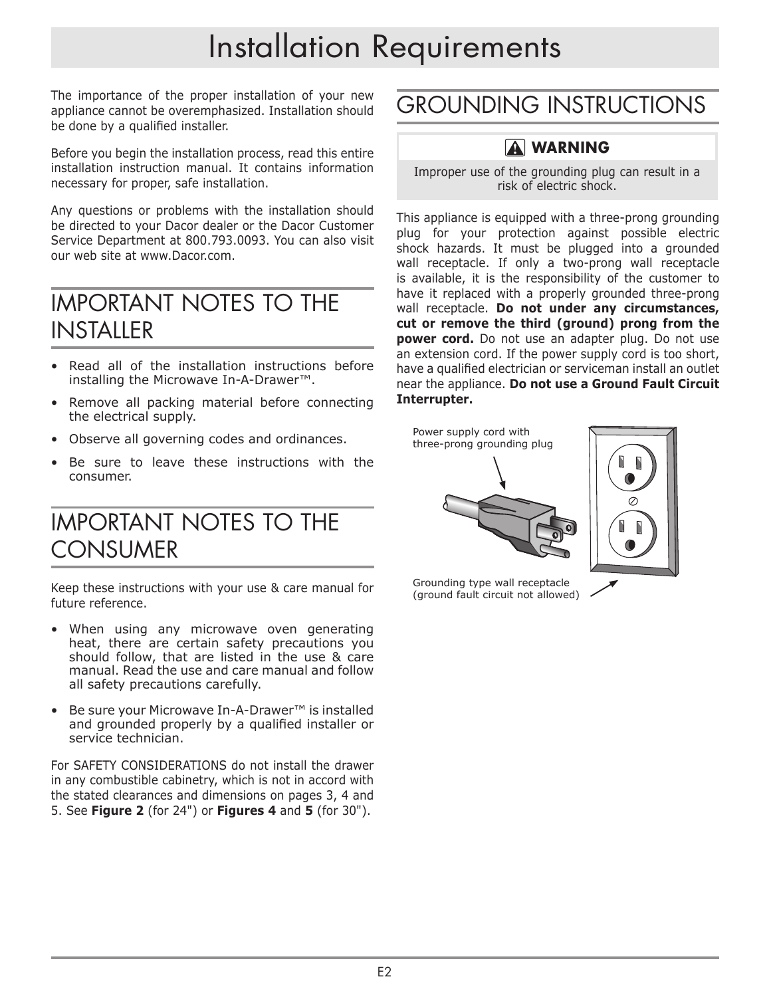# Installation Requirements

The importance of the proper installation of your new appliance cannot be overemphasized. Installation should be done by a qualified installer.

Before you begin the installation process, read this entire installation instruction manual. It contains information necessary for proper, safe installation.

Any questions or problems with the installation should be directed to your Dacor dealer or the Dacor Customer Service Department at 800.793.0093. You can also visit our web site at www.Dacor.com.

## IMPORTANT NOTES TO THE **INSTALLER**

- Read all of the installation instructions before installing the Microwave In-A-Drawer™.
- Remove all packing material before connecting the electrical supply.
- Observe all governing codes and ordinances.
- Be sure to leave these instructions with the consumer.

## IMPORTANT NOTES TO THE **CONSUMER**

Keep these instructions with your use & care manual for future reference.

- When using any microwave oven generating heat, there are certain safety precautions you should follow, that are listed in the use & care manual. Read the use and care manual and follow all safety precautions carefully.
- Be sure your Microwave In-A-Drawer™ is installed and grounded properly by a qualified installer or service technician.

For SAFETY CONSIDERATIONS do not install the drawer in any combustible cabinetry, which is not in accord with the stated clearances and dimensions on pages 3, 4 and 5. See **Figure 2** (for 24") or **Figures 4** and **5** (for 30").

# GROUNDING INSTRUCTIONS

## **WARNING**

Improper use of the grounding plug can result in a risk of electric shock.

This appliance is equipped with a three-prong grounding plug for your protection against possible electric shock hazards. It must be plugged into a grounded wall receptacle. If only a two-prong wall receptacle is available, it is the responsibility of the customer to have it replaced with a properly grounded three-prong wall receptacle. **Do not under any circumstances, cut or remove the third (ground) prong from the power cord.** Do not use an adapter plug. Do not use an extension cord. If the power supply cord is too short, have a qualified electrician or serviceman install an outlet near the appliance. **Do not use a Ground Fault Circuit Interrupter.**





Grounding type wall receptacle (ground fault circuit not allowed)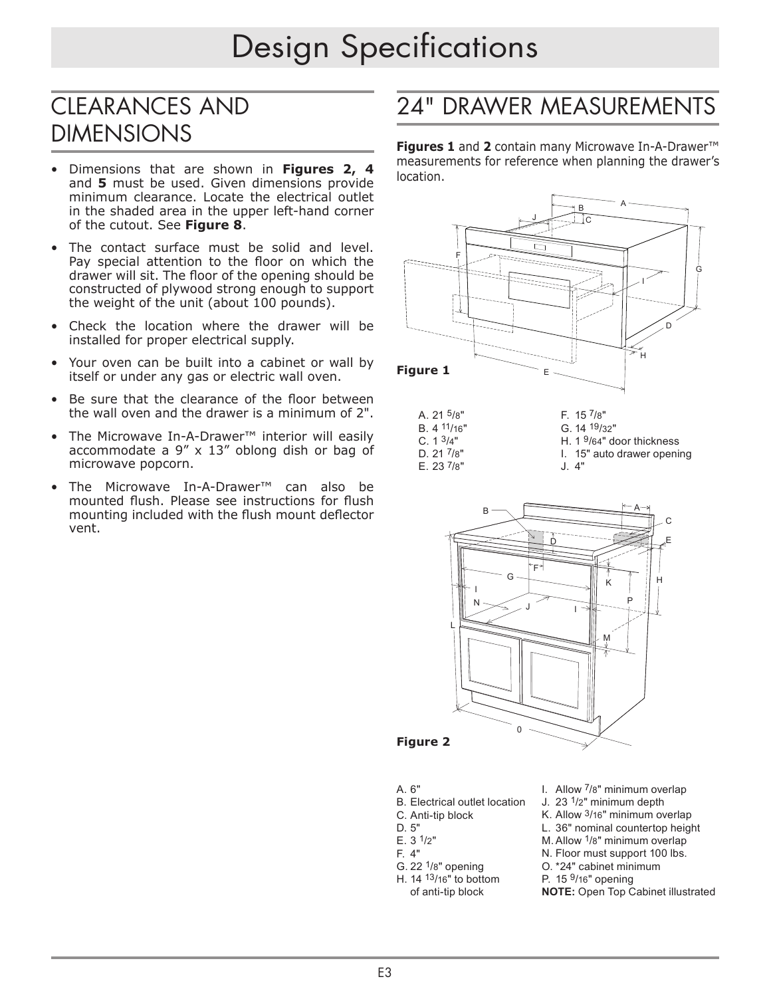# Design Specifications

## CLEARANCES AND DIMENSIONS

- Dimensions that are shown in **Figures 2, 4** and **5** must be used. Given dimensions provide minimum clearance. Locate the electrical outlet in the shaded area in the upper left-hand corner of the cutout. See **Figure 8**.
- The contact surface must be solid and level. Pay special attention to the floor on which the drawer will sit. The floor of the opening should be constructed of plywood strong enough to support the weight of the unit (about 100 pounds).
- Check the location where the drawer will be installed for proper electrical supply.
- Your oven can be built into a cabinet or wall by itself or under any gas or electric wall oven.
- Be sure that the clearance of the floor between the wall oven and the drawer is a minimum of 2".
- The Microwave In-A-Drawer™ interior will easily accommodate a 9" x 13" oblong dish or bag of microwave popcorn.
- The Microwave In-A-Drawer™ can also be mounted flush. Please see instructions for flush mounting included with the flush mount deflector vent.

#### 24" DRAWER MEASUREMENTS J

C

measurements for reference when planning the drawer's **Figures 1** and **2** contain many Microwave In-A-Drawer™ location.



```
D. 21 7/8"
E. 23\frac{7}{8}"
```
H. 1 9/64" door thickness





#### **Figure 2**

- A. 6"
- B. Electrical outlet location
- C. Anti-tip block
	-
- D. 5" E. 3 1/2"
- F. 4"
- G. 22 $1/8$ " opening
- H. 14 13/16" to bottom of anti-tip block
- I. Allow 7/8" minimum overlap
- J. 23 1/2" minimum depth
- K. Allow 3/16" minimum overlap
- L. 36" nominal countertop height
- M. Allow 1/8" minimum overlap
- N. Floor must support 100 lbs. O. \*24" cabinet minimum
- P. 15 9/16" opening
- **NOTE:** Open Top Cabinet illustrated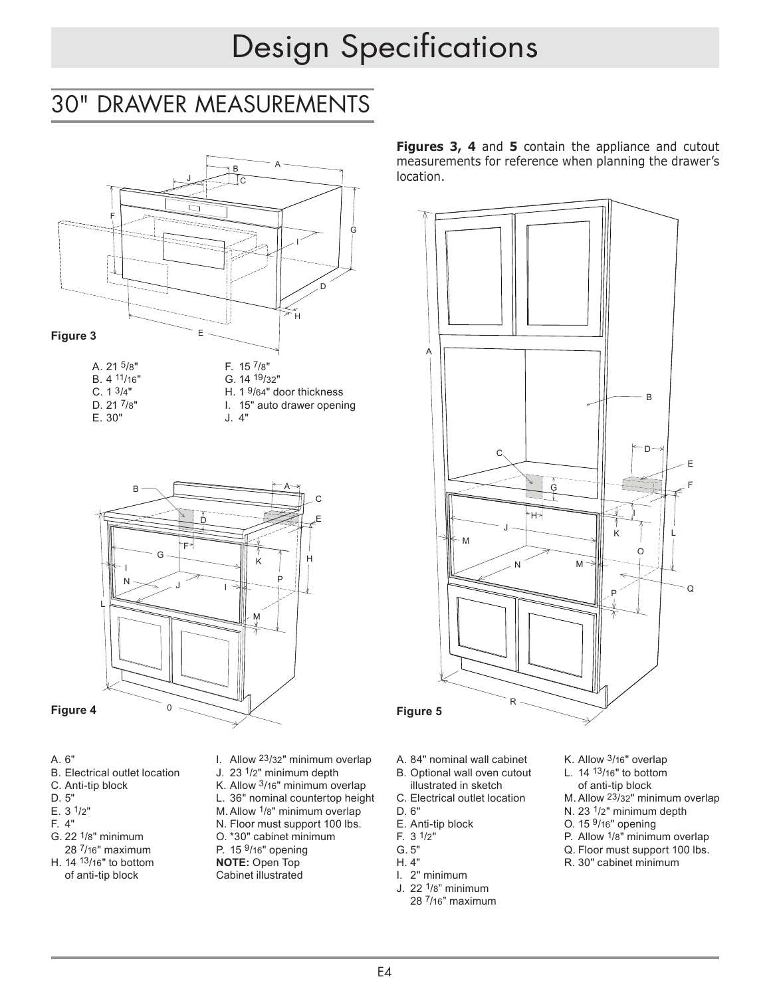# Design Specifications G

#### 30" DRAWER MEASUREMENTS  $\frac{1}{\sqrt{1-\frac{1}{\sqrt{1-\frac{1}{\sqrt{1-\frac{1}{\sqrt{1-\frac{1}{\sqrt{1-\frac{1}{\sqrt{1-\frac{1}{\sqrt{1-\frac{1}{\sqrt{1-\frac{1}{\sqrt{1-\frac{1}{\sqrt{1-\frac{1}{\sqrt{1-\frac{1}{\sqrt{1-\frac{1}{\sqrt{1-\frac{1}{\sqrt{1-\frac{1}{\sqrt{1-\frac{1}{\sqrt{1-\frac{1}{\sqrt{1-\frac{1}{\sqrt{1-\frac{1}{\sqrt{1-\frac{1}{\sqrt{1-\frac{1}{\sqrt{1-\frac{1}{\sqrt{1-\frac{1}{\sqrt{1-\frac{1}{\sqrt{1-\frac{1$ MFASI.



- B. 4 11/16" C. 1 3/4" D. 21 7/8" E. 30"
- H. 1 9/64" door thickness F. 15 7/8" G. 14 19/32" I. 15" auto drawer opening J. 4"



#### **Figure 4**

- A. 6"
- B. Electrical outlet location
- C. Anti-tip block
- D. 5"
- E. 3 1/2"
- F. 4"
- G. 22 1/8" minimum 28 7/16" maximum
- H. 14 13/16" to bottom of anti-tip block
- I. Allow 23/32" minimum overlap
- J. 23 1/2" minimum depth
- K. Allow 3/16" minimum overlap L. 36" nominal countertop height
- M. Allow 1/8" minimum overlap
- N. Floor must support 100 lbs.
- O. \*30" cabinet minimum
- P. 15 9/16" opening
- **NOTE:** Open Top
- Cabinet illustrated

**Figures 3, 4** and **5** contain the appliance and cutout measurements for reference when planning the drawer's location.



- A. 84" nominal wall cabinet
- B. Optional wall oven cutout
- illustrated in sketch
- C. Electrical outlet location R D. 6"
- E. Anti-tip block
- $F. 3 \frac{1}{2}$
- G. 5"
- H. 4"
- I. 2" minimum
- J. 22 1/8" minimum
	- 28 7/16" maximum
- K. Allow 3/16" overlap L. 14 13/16" to bottom
- of anti-tip block
- M. Allow 23/32" minimum overlap
- N. 23 1/2" minimum depth
- O. 15 9/16" opening
- P. Allow 1/8" minimum overlap
- Q. Floor must support 100 lbs.
- R. 30" cabinet minimum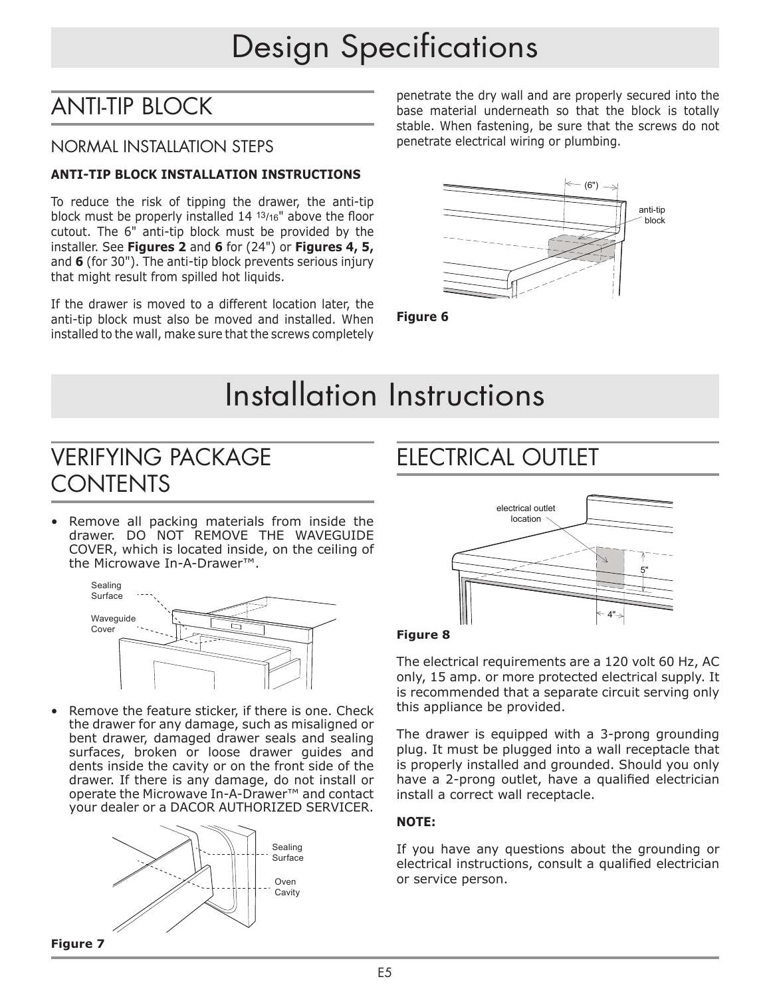# ANTI-TIP BLOCK

#### NORMAL INSTALLATION STEPS

#### **ANTI-TIP BLOCK INSTALLATION INSTRUCTIONS**

To reduce the risk of tipping the drawer, the anti-tip block must be properly installed 14 13/16" above the floor cutout. The 6" anti-tip block must be provided by the installer. See **Figures 2** and **6** for (24") or **Figures 4, 5,** and **6** (for 30"). The anti-tip block prevents serious injury that might result from spilled hot liquids. the

If the drawer is moved to a different location later, the anti-tip block must also be moved and installed. When installed to the wall, make sure that the screws completely

penetrate the dry wall and are properly secured into the base material underneath so that the block is totally stable. When fastening, be sure that the screws do not penetrate electrical wiring or plumbing.



**Figure 6**

# Installation Instructions

## VERIFYING PACKAGE CONTENTS

• Remove all packing materials from inside the drawer. DO NOT REMOVE THE WAVEGUIDE COVER, which is located inside, on the ceiling of the Microwave In-A-Drawer™.



Remove the feature sticker, if there is one. Check the drawer for any damage, such as misaligned or bent drawer, damaged drawer seals and sealing surfaces, broken or loose drawer guides and dents inside the cavity or on the front side of the drawer. If there is any damage, do not install or operate the Microwave In-A-Drawer™ and contact your dealer or a DACOR AUTHORIZED SERVICER.



# FIFCTRICAL OUTLET



#### **Figure 8**

The electrical requirements are a 120 volt 60 Hz, AC only, 15 amp. or more protected electrical supply. It is recommended that a separate circuit serving only this appliance be provided.

The drawer is equipped with a 3-prong grounding plug. It must be plugged into a wall receptacle that is properly installed and grounded. Should you only have a 2-prong outlet, have a qualified electrician install a correct wall receptacle.

#### **NOTE:**

If you have any questions about the grounding or electrical instructions, consult a qualified electrician or service person.

**Figure 7**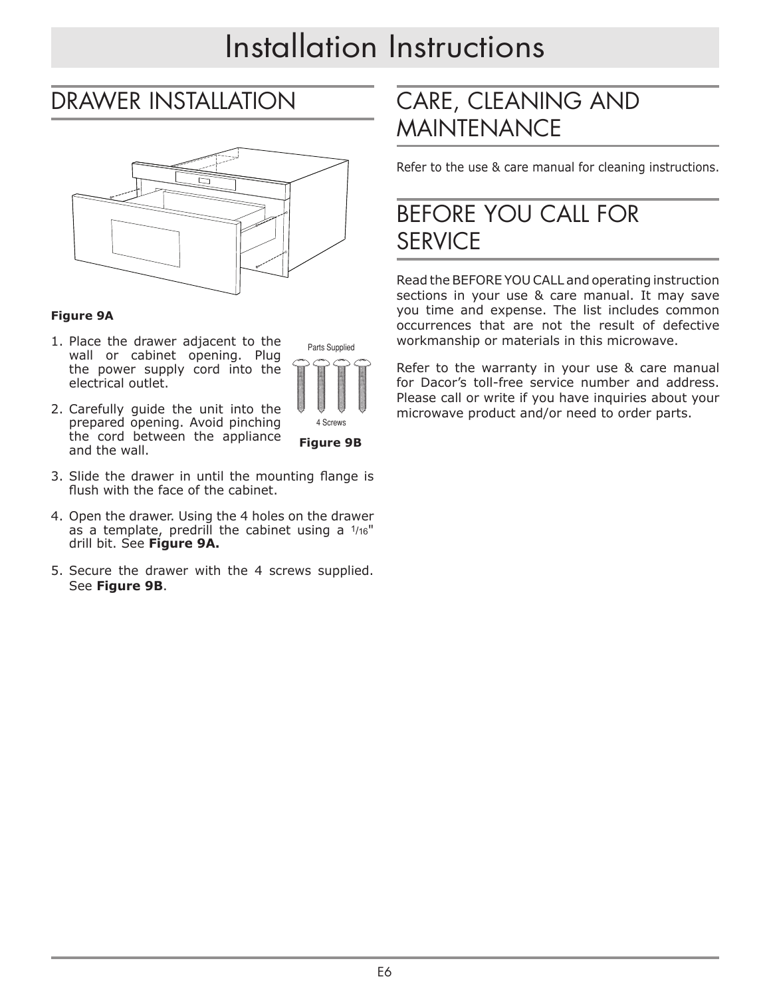# Installation Instructions

## DRAWER INSTALLATION



#### **Figure 9A**

1. Place the drawer adjacent to the wall or cabinet opening. Plug the power supply cord into the electrical outlet.



**Figure 9B**

- 2. Carefully guide the unit into the prepared opening. Avoid pinching the cord between the appliance and the wall.
- 3. Slide the drawer in until the mounting flange is flush with the face of the cabinet.
- 4. Open the drawer. Using the 4 holes on the drawer as a template, predrill the cabinet using a 1/16" drill bit. See **Figure 9A.**
- 5. Secure the drawer with the 4 screws supplied. See **Figure 9B**.

# CARE, CLEANING AND MAINTENANCE

Refer to the use & care manual for cleaning instructions.

## BEFORE YOU CALL FOR **SERVICE**

Read the BEFORE YOU CALL and operating instruction sections in your use & care manual. It may save you time and expense. The list includes common occurrences that are not the result of defective workmanship or materials in this microwave.

Refer to the warranty in your use & care manual for Dacor's toll-free service number and address. Please call or write if you have inquiries about your  $\overline{\mathsf{P}}$   $\overline{\mathsf{P}}$   $\overline{\mathsf{P}}$  microwave product and/or need to order parts.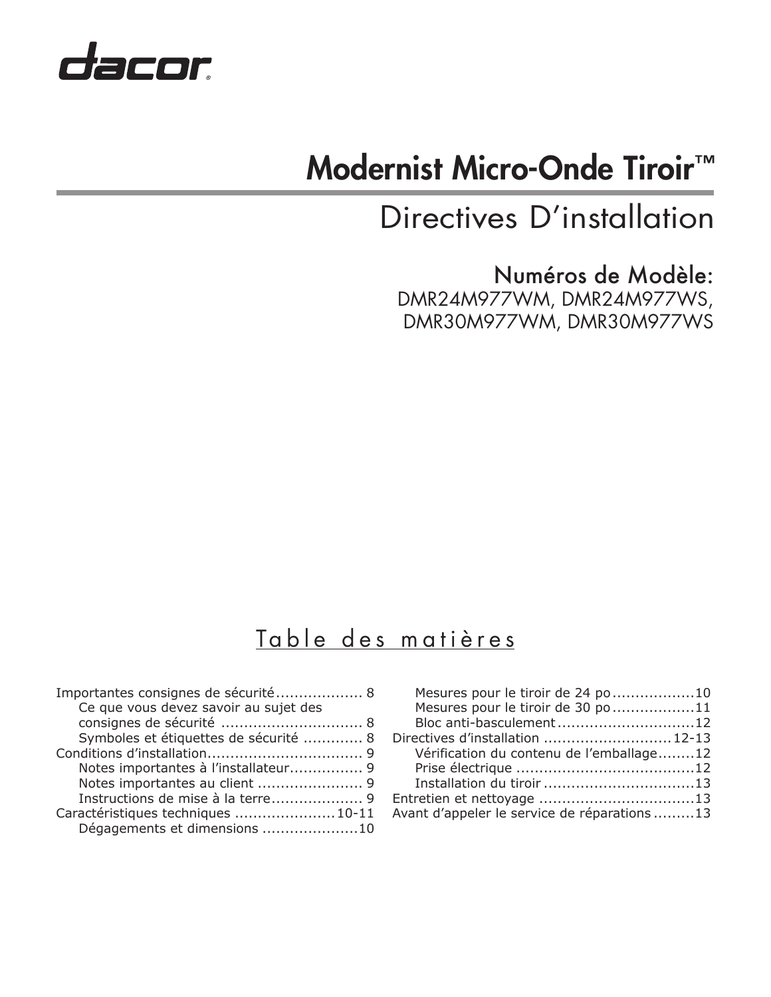

# Modernist Micro-Onde Tiroir<sup>™</sup>

Directives D'installation

Numéros de Modèle: DMR24M977WM, DMR24M977WS, DMR30M977WM, DMR30M977WS

## Table des matières

| Importantes consignes de sécurité 8   |  |
|---------------------------------------|--|
| Ce que vous devez savoir au sujet des |  |
|                                       |  |
| Symboles et étiquettes de sécurité  8 |  |
|                                       |  |
| Notes importantes à l'installateur 9  |  |
| Notes importantes au client  9        |  |
| Instructions de mise à la terre 9     |  |
| Caractéristiques techniques  10-11    |  |
| Dégagements et dimensions 10          |  |

| Mesures pour le tiroir de 24 po 10<br>Mesures pour le tiroir de 30 po 11 |  |
|--------------------------------------------------------------------------|--|
| Bloc anti-basculement12                                                  |  |
| Directives d'installation  12-13                                         |  |
| Vérification du contenu de l'emballage12                                 |  |
|                                                                          |  |
|                                                                          |  |
|                                                                          |  |
| Avant d'appeler le service de réparations 13                             |  |
|                                                                          |  |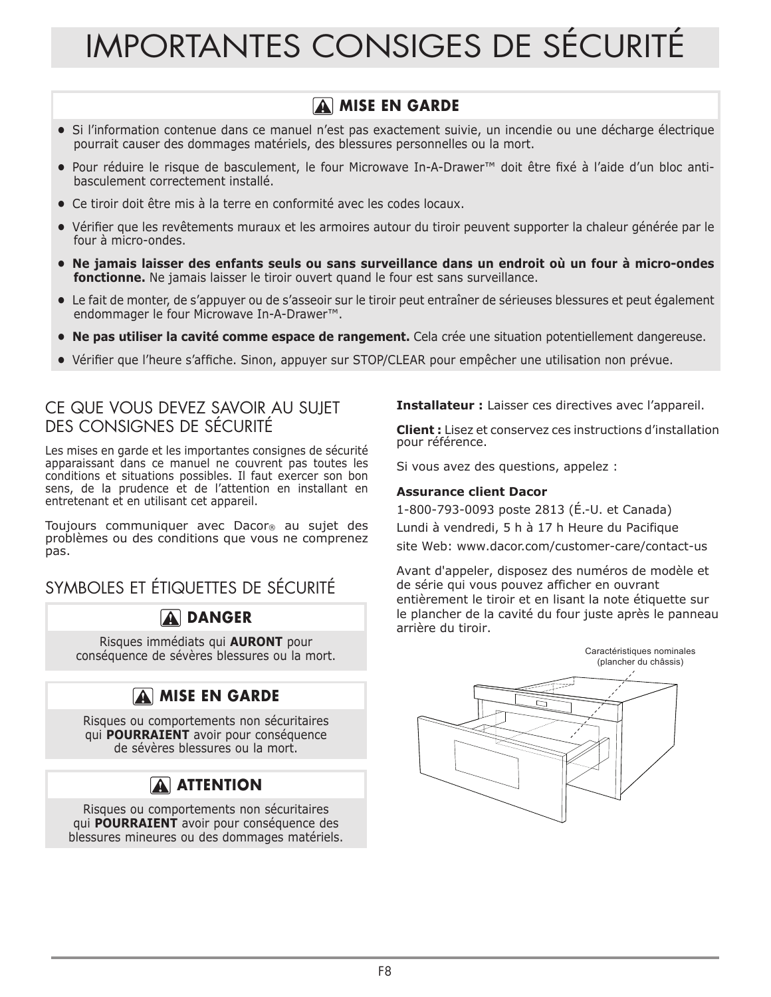# IMPORTANTES CONSIGES DE SÉCURITÉ

#### **A** MISE EN GARDE

- **•** Si l'information contenue dans ce manuel n'est pas exactement suivie, un incendie ou une décharge électrique pourrait causer des dommages matériels, des blessures personnelles ou la mort.
- **•** Pour réduire le risque de basculement, le four Microwave In-A-Drawer™ doit être fixé à l'aide d'un bloc antibasculement correctement installé.
- **•** Ce tiroir doit être mis à la terre en conformité avec les codes locaux.
- **•** Vérifier que les revêtements muraux et les armoires autour du tiroir peuvent supporter la chaleur générée par le four à micro-ondes.
- **• Ne jamais laisser des enfants seuls ou sans surveillance dans un endroit où un four à micro-ondes fonctionne.** Ne jamais laisser le tiroir ouvert quand le four est sans surveillance.
- **•** Le fait de monter, de s'appuyer ou de s'asseoir sur le tiroir peut entraîner de sérieuses blessures et peut également endommager le four Microwave In-A-Drawer™.
- **• Ne pas utiliser la cavité comme espace de rangement.** Cela crée une situation potentiellement dangereuse.
- **•** Vérifier que l'heure s'affiche. Sinon, appuyer sur STOP/CLEAR pour empêcher une utilisation non prévue.

#### CE QUE VOUS DEVEZ SAVOIR AU SUJET DES CONSIGNES DE SÉCURITÉ

Les mises en garde et les importantes consignes de sécurité apparaissant dans ce manuel ne couvrent pas toutes les conditions et situations possibles. Il faut exercer son bon sens, de la prudence et de l'attention en installant en entretenant et en utilisant cet appareil.

Toujours communiquer avec Dacor® au sujet des problèmes ou des conditions que vous ne comprenez pas.

SYMBOLES ET ÉTIQUETTES DE SÉCURITÉ

#### **A** DANGER

Risques immédiats qui **AURONT** pour conséquence de sévères blessures ou la mort.

#### **A MISE EN GARDE**

Risques ou comportements non sécuritaires qui **POURRAIENT** avoir pour conséquence de sévères blessures ou la mort.

## **A** ATTENTION

Risques ou comportements non sécuritaires qui **POURRAIENT** avoir pour conséquence des blessures mineures ou des dommages matériels. **Installateur :** Laisser ces directives avec l'appareil.

**Client :** Lisez et conservez ces instructions d'installation pour référence.

Si vous avez des questions, appelez :

#### **Assurance client Dacor**

1-800-793-0093 poste 2813 (É.-U. et Canada)

Lundi à vendredi, 5 h à 17 h Heure du Pacifique

site Web: www.dacor.com/customer-care/contact-us

Avant d'appeler, disposez des numéros de modèle et de série qui vous pouvez afficher en ouvrant entièrement le tiroir et en lisant la note étiquette sur le plancher de la cavité du four juste après le panneau arrière du tiroir.

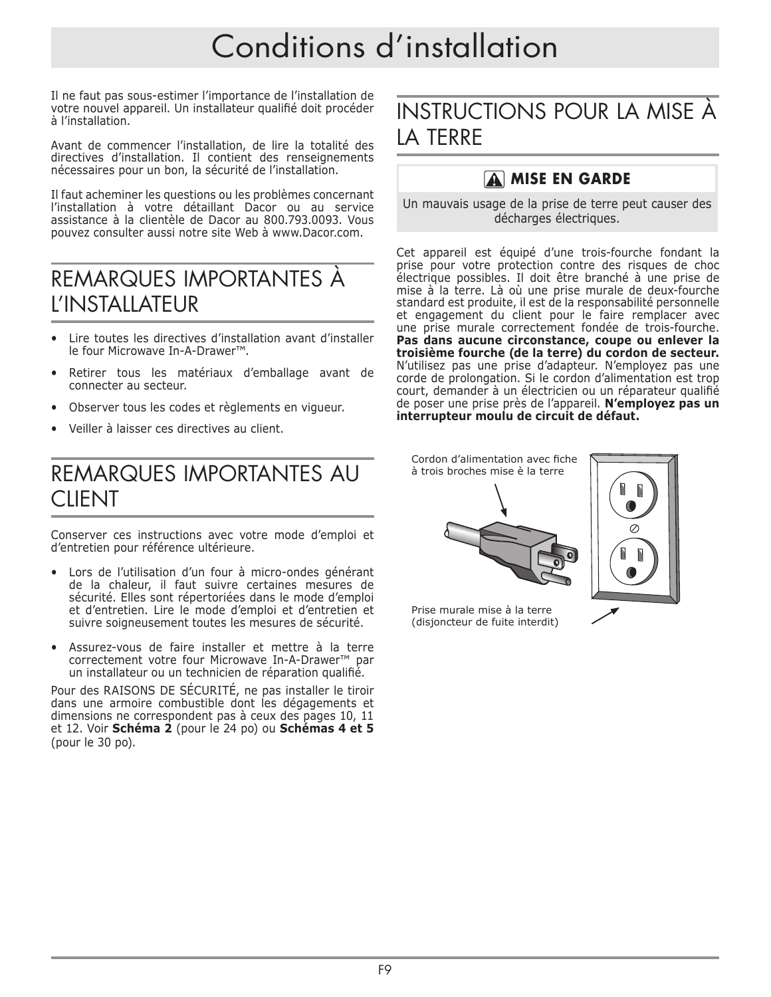# Conditions d'installation

Il ne faut pas sous-estimer l'importance de l'installation de votre nouvel appareil. Un installateur qualifié doit procéder à l'installation.

Avant de commencer l'installation, de lire la totalité des directives d'installation. Il contient des renseignements nécessaires pour un bon, la sécurité de l'installation.

Il faut acheminer les questions ou les problèmes concernant l'installation à votre détaillant Dacor ou au service assistance à la clientèle de Dacor au 800.793.0093. Vous pouvez consulter aussi notre site Web à www.Dacor.com.

## REMARQUES IMPORTANTES À L'INSTALLATEUR

- Lire toutes les directives d'installation avant d'installer le four Microwave In-A-Drawer™.
- Retirer tous les matériaux d'emballage avant de connecter au secteur.
- Observer tous les codes et règlements en vigueur.
- Veiller à laisser ces directives au client.

## REMARQUES IMPORTANTES AU **CLIENT**

Conserver ces instructions avec votre mode d'emploi et d'entretien pour référence ultérieure.

- Lors de l'utilisation d'un four à micro-ondes générant de la chaleur, il faut suivre certaines mesures de sécurité. Elles sont répertoriées dans le mode d'emploi et d'entretien. Lire le mode d'emploi et d'entretien et suivre soigneusement toutes les mesures de sécurité.
- Assurez-vous de faire installer et mettre à la terre correctement votre four Microwave In-A-Drawer™ par un installateur ou un technicien de réparation qualifié.

Pour des RAISONS DE SÉCURITÉ, ne pas installer le tiroir dans une armoire combustible dont les dégagements et dimensions ne correspondent pas à ceux des pages 10, 11 et 12. Voir **Schéma 2** (pour le 24 po) ou **Schémas 4 et 5**  (pour le 30 po).

## INSTRUCTIONS POUR LA MISE À LA TERRE

#### **A** MISE EN GARDE

Un mauvais usage de la prise de terre peut causer des décharges électriques.

Cet appareil est équipé d'une trois-fourche fondant la prise pour votre protection contre des risques de choc électrique possibles. Il doit être branché à une prise de mise à la terre. Là où une prise murale de deux-fourche standard est produite, il est de la responsabilité personnelle et engagement du client pour le faire remplacer avec une prise murale correctement fondée de trois-fourche. **Pas dans aucune circonstance, coupe ou enlever la troisième fourche (de la terre) du cordon de secteur.** N'utilisez pas une prise d'adapteur. N'employez pas une corde de prolongation. Si le cordon d'alimentation est trop court, demander à un électricien ou un réparateur qualifié de poser une prise près de l'appareil. **N'employez pas un interrupteur moulu de circuit de défaut.**

Cordon d'alimentation avec fiche à trois broches mise è la terre





Prise murale mise à la terre (disjoncteur de fuite interdit)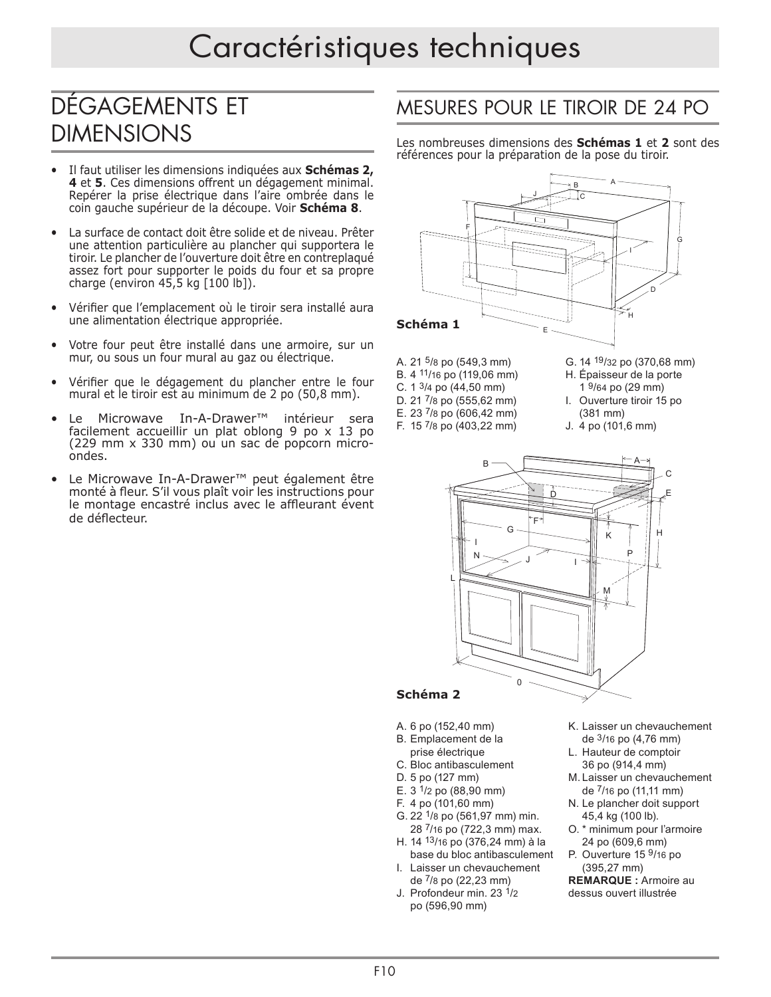# DÉGAGEMENTS ET DIMENSIONS

- Il faut utiliser les dimensions indiquées aux **Schémas 2, 4** et **5**. Ces dimensions offrent un dégagement minimal. Repérer la prise électrique dans l'aire ombrée dans le coin gauche supérieur de la découpe. Voir **Schéma 8**.
- La surface de contact doit être solide et de niveau. Prêter une attention particulière au plancher qui supportera le tiroir. Le plancher de l'ouverture doit être en contreplaqué assez fort pour supporter le poids du four et sa propre charge (environ 45,5 kg [100 lb]).
- Vérifier que l'emplacement où le tiroir sera installé aura une alimentation électrique appropriée.
- Votre four peut être installé dans une armoire, sur un mur, ou sous un four mural au gaz ou électrique.
- Vérifier que le dégagement du plancher entre le four mural et le tiroir est au minimum de 2 po (50,8 mm).
- Le Microwave In-A-Drawer™ intérieur sera facilement accueillir un plat oblong 9 po x 13 po (229 mm x 330 mm) ou un sac de popcorn microondes.
- Le Microwave In-A-Drawer™ peut également être monté à fleur. S'il vous plaît voir les instructions pour le montage encastré inclus avec le affleurant évent de déflecteur.

#### MESURES POUR LE TIROIR DE 24 PO F

Les nombreuses dimensions des **Schémas 1** et **2** sont des I références pour la préparation de la pose du tiroir.



- A. 21 5/8 po (549,3 mm)
- B. 4 11/16 po (119,06 mm)
- C. 1 3/4 po (44,50 mm) D. 21 7/8 po (555,62 mm)
- E. 23 7/8 po (606,42 mm)
- F. 15 7/8 po (403,22 mm)
- G. 14 19/32 po (370,68 mm)
- H. Épaisseur de la porte
- 1 9/64 po (29 mm)
- I. Ouverture tiroir 15 po
- (381 mm)
- J. 4 po (101,6 mm)



#### **Schéma 2**

- A. 6 po (152,40 mm)
- B. Emplacement de la
- prise électrique
- C. Bloc antibasculement
- D. 5 po (127 mm)
- E.  $3 \frac{1}{2}$  po (88,90 mm)
- F. 4 po (101,60 mm)
- G. 22 1/8 po (561,97 mm) min. 28 7/16 po (722,3 mm) max.
- H. 14 13/16 po (376,24 mm) à la base du bloc antibasculement I. Laisser un chevauchement
- de 7/8 po (22,23 mm) J. Profondeur min. 23 1/2
- po (596,90 mm)
- K. Laisser un chevauchement de 3/16 po (4,76 mm)
- L. Hauteur de comptoir 36 po (914,4 mm)
- M. Laisser un chevauchement de 7/16 po (11,11 mm)
- N. Le plancher doit support 45,4 kg (100 lb).
- O. \* minimum pour l'armoire 24 po (609,6 mm)
- P. Ouverture 15 <sup>9</sup>/16 po (395,27 mm)

**REMARQUE :** Armoire au dessus ouvert illustrée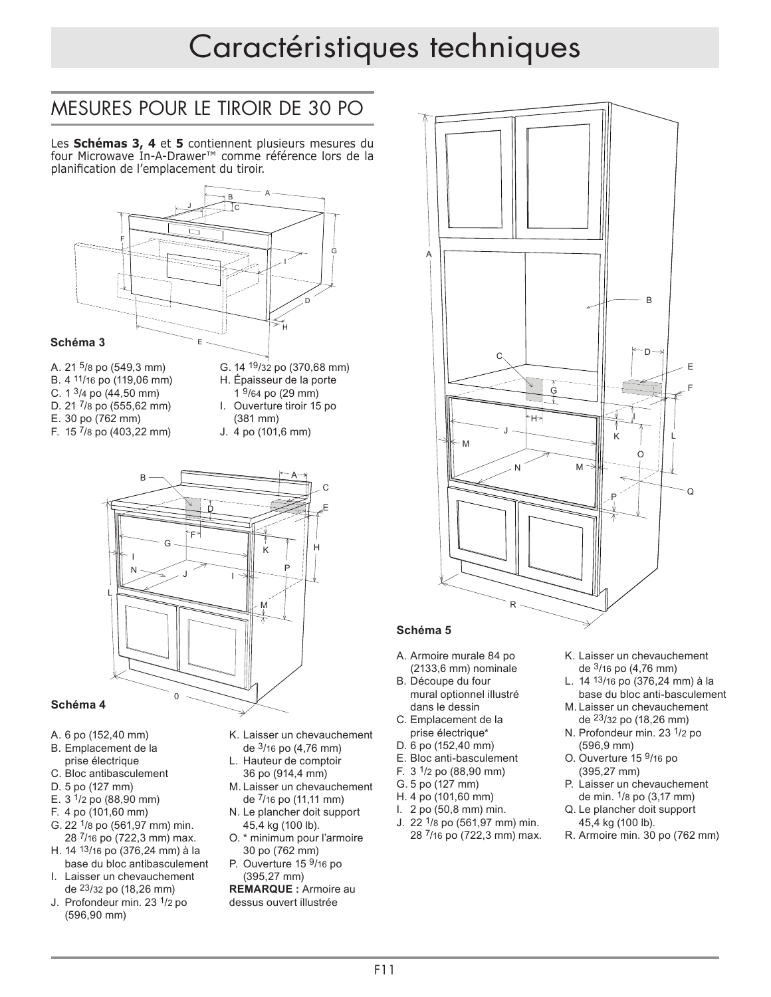# Caractéristiques techniques

#### MESURES POUR LE TIROIR DE 30 PO C J

Les **Schémas 3, 4** et **5** contiennent plusieurs mesures du four Microwave In-A-Drawer™ comme référence lors de la I planification de l'emplacement du tiroir.



- B. 4 11/16 po (119,06 mm)
- C.  $1 \frac{3}{4}$  po  $(44,50 \text{ mm})$
- D. 21 <sup>7</sup>/8 po (555,62 mm)
- E. 30 po (762 mm)
- F. 15 7/8 po (403,22 mm)
- G. 14 <sup>19</sup>/32 po (370,68 mm) H. Épaisseur de la porte 1 <sup>9</sup>/64 po (29 mm) I. Ouverture tiroir 15 po
	- (381 mm) J. 4 po (101,6 mm) M



#### **Schéma 4**

- A. 6 po (152,40 mm)
- B. Emplacement de la prise électrique
- C. Bloc antibasculement
- D. 5 po (127 mm)
- E.  $3 \frac{1}{2}$  po (88,90 mm)
- F. 4 po (101,60 mm)
- G. 22 1/8 po (561,97 mm) min. 28 7/16 po (722,3 mm) max.
- H. 14 13/16 po (376,24 mm) à la base du bloc antibasculement
- I. Laisser un chevauchement de 23/32 po (18,26 mm)
- J. Profondeur min. 23 1/2 po (596,90 mm)
- K. Laisser un chevauchement de 3/16 po (4,76 mm)
- L. Hauteur de comptoir 36 po (914,4 mm)
- M. Laisser un chevauchement de 7/16 po (11,11 mm)
- N. Le plancher doit support 45,4 kg (100 lb).
- O. \* minimum pour l'armoire 30 po (762 mm)
- P. Ouverture 15 <sup>9</sup>/16 po (395,27 mm)

**REMARQUE :** Armoire au dessus ouvert illustrée



#### Schéma 5  $\sum_{i=1}^{n}$

- A. Armoire murale 84 po (2133,6 mm) nominale M
- B. Découpe du four bessape da isa.<br>mural optionnel illustré dans le dessin
- C. Emplacement de la prise électrique\*
- D. 6 po (152,40 mm)
- E. Bloc anti-basculement
- F.  $3 \frac{1}{2}$  po (88.90 mm)
- G. 5 po (127 mm)
- H. 4 po (101,60 mm)
- I. 2 po (50,8 mm) min. J. 22 1/8 po (561,97 mm) min. 28 7/16 po (722,3 mm) max.
- K. Laisser un chevauchement de 3/16 po (4,76 mm)
- L. 14 <sup>13</sup>/16 po (376,24 mm) à la base du bloc anti-basculement
- M. Laisser un chevauchement de 23/32 po (18,26 mm)
- N. Profondeur min. 23 1/2 po (596,9 mm)
- O. Ouverture 15 9/16 po (395,27 mm)
- P. Laisser un chevauchement de min. 1/8 po (3,17 mm)
- Q. Le plancher doit support 45,4 kg (100 lb).
- R. Armoire min. 30 po (762 mm)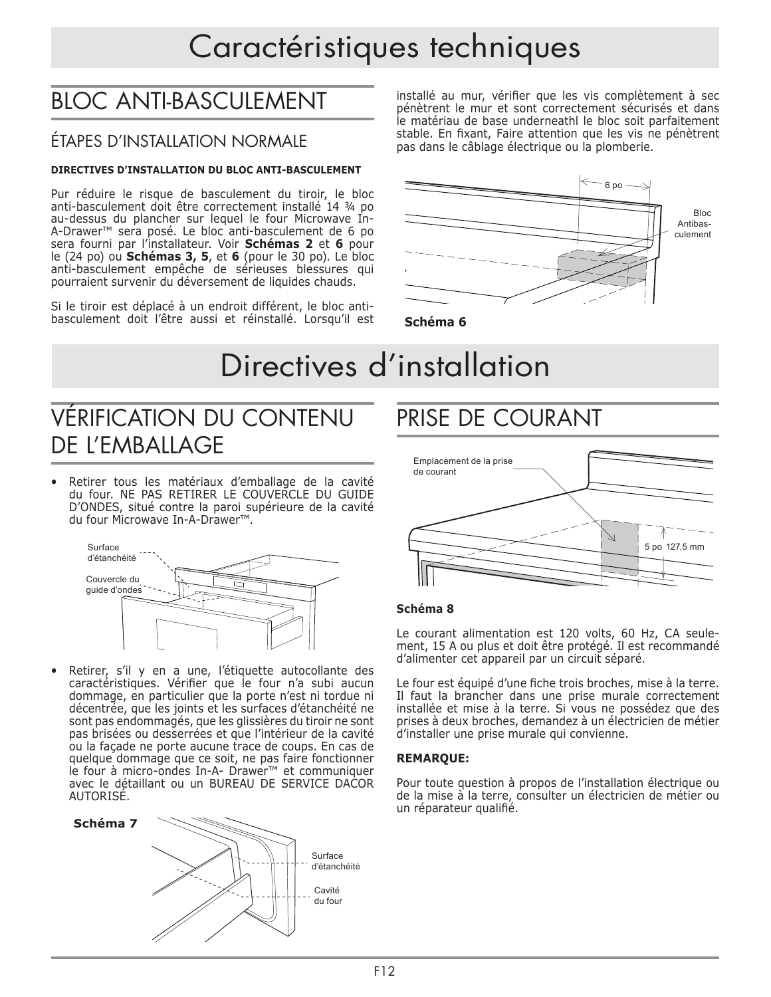# Caractéristiques techniques

# BLOC ANTI-BASCULEMENT

#### ÉTAPES D'INSTALLATION NORMALE

#### **DIRECTIVES D'INSTALLATION DU BLOC ANTI-BASCULEMENT**

Pur réduire le risque de basculement du tiroir, le bloc anti-basculement doit être correctement installé 14 ¾ po au-dessus du plancher sur lequel le four Microwave In-A-Drawer™ sera posé. Le bloc anti-basculement de 6 po sera fourni par l'installateur. Voir **Schémas 2** et **6** pour le (24 po) ou **Schémas 3, 5**, et **6** (pour le 30 po). Le bloc anti-basculement empêche de sérieuses blessures qui pourraient survenir du déversement de liquides chauds.

Si le tiroir est déplacé à un endroit différent, le bloc antibasculement doit l'être aussi et réinstallé. Lorsqu'il est installé au mur, vérifier que les vis complètement à sec pénètrent le mur et sont correctement sécurisés et dans le matériau de base underneathl le bloc soit parfaitement stable. En fixant, Faire attention que les vis ne pénètrent pas dans le câblage électrique ou la plomberie.



**Schéma 6**

# Directives d'installation

## VÉRIFICATION DU CONTENU DE L'EMBALLAGE

Retirer tous les matériaux d'emballage de la cavité du four. NE PAS RETIRER LE COUVERCLE DU GUIDE D'ONDES, situé contre la paroi supérieure de la cavité du four Microwave In-A-Drawer™.



• Retirer, s'il y en a une, l'étiquette autocollante des caractéristiques. Vérifier que le four n'a subi aucun dommage, en particulier que la porte n'est ni tordue ni décentrée, que les joints et les surfaces d'étanchéité ne sont pas endommagés, que les glissières du tiroir ne sont pas brisées ou desserrées et que l'intérieur de la cavité ou la façade ne porte aucune trace de coups. En cas de quelque dommage que ce soit, ne pas faire fonctionner le four à micro-ondes In-A- Drawer™ et communiquer avec le détaillant ou un BUREAU DE SERVICE DACOR AUTORISÉ.



## PRISE DE COURANT



#### **Schéma 8**

Le courant alimentation est 120 volts, 60 Hz, CA seulement, 15 A ou plus et doit être protégé. Il est recommandé d'alimenter cet appareil par un circuit séparé.

Le four est équipé d'une fiche trois broches, mise à la terre. Il faut la brancher dans une prise murale correctement installée et mise à la terre. Si vous ne possédez que des prises à deux broches, demandez à un électricien de métier d'installer une prise murale qui convienne.

#### **REMARQUE:**

Pour toute question à propos de l'installation électrique ou de la mise à la terre, consulter un électricien de métier ou un réparateur qualifié.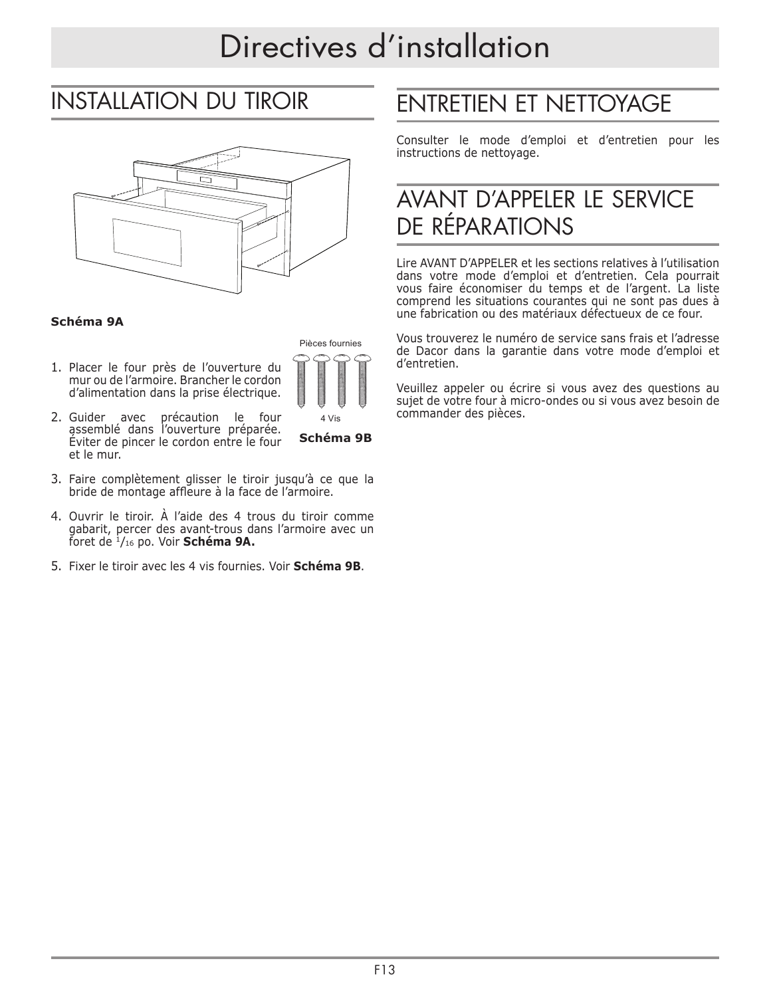# Directives d'installation

## INSTALLATION DU TIROIR



#### **Schéma 9A**

1. Placer le four près de l'ouverture du mur ou de l'armoire. Brancher le cordon d'alimentation dans la prise électrique.



- 2. Guider avec précaution le four assemblé dans l'ouverture préparée. Éviter de pincer le cordon entre le four et le mur.
- **Schéma 9B**
- 3. Faire complètement glisser le tiroir jusqu'à ce que la bride de montage affleure à la face de l'armoire.
- 4. Ouvrir le tiroir. À l'aide des 4 trous du tiroir comme gabarit, percer des avant-trous dans l'armoire avec un foret de 1/16 po. Voir **Schéma 9A.**
- 5. Fixer le tiroir avec les 4 vis fournies. Voir **Schéma 9B**.

# ENTRETIEN ET NETTOYAGE

Consulter le mode d'emploi et d'entretien pour les instructions de nettoyage.

## AVANT D'APPELER LE SERVICE DE RÉPARATIONS

Lire AVANT D'APPELER et les sections relatives à l'utilisation dans votre mode d'emploi et d'entretien. Cela pourrait vous faire économiser du temps et de l'argent. La liste comprend les situations courantes qui ne sont pas dues à une fabrication ou des matériaux défectueux de ce four.

Vous trouverez le numéro de service sans frais et l'adresse de Dacor dans la garantie dans votre mode d'emploi et d'entretien.

Veuillez appeler ou écrire si vous avez des questions au sujet de votre four à micro-ondes ou si vous avez besoin de commander des pièces.